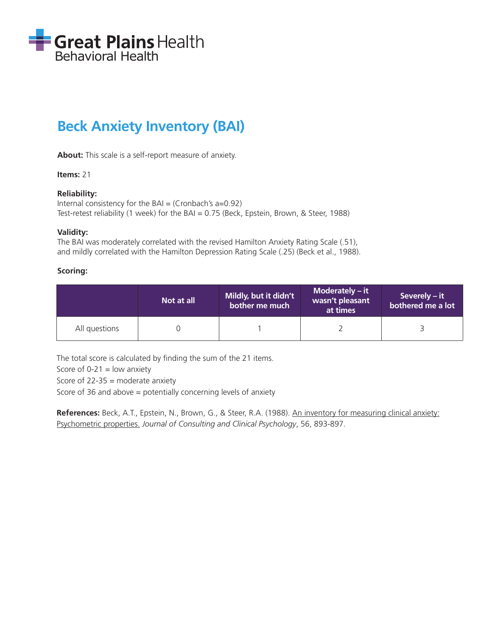

# **Beck Anxiety Inventory (BAI)**

**About:** This scale is a self-report measure of anxiety.

## **Items:** 21

## **Reliability:**

```
Internal consistency for the BAI = (Cronbach's a=0.92)Test-retest reliability (1 week) for the BAI = 0.75 (Beck, Epstein, Brown, & Steer, 1988)
```
#### **Validity:**

The BAI was moderately correlated with the revised Hamilton Anxiety Rating Scale (.51), and mildly correlated with the Hamilton Depression Rating Scale (.25) (Beck et al., 1988).

#### **Scoring:**

|               | Not at all | Mildly, but it didn't<br>bother me much | Moderately $-$ it<br>wasn't pleasant<br>at times | Severely – it<br>bothered me a lot |
|---------------|------------|-----------------------------------------|--------------------------------------------------|------------------------------------|
| All questions |            |                                         |                                                  |                                    |

The total score is calculated by finding the sum of the 21 items.

Score of  $0-21$  = low anxiety

Score of  $22-35$  = moderate anxiety

Score of 36 and above = potentially concerning levels of anxiety

**References:** Beck, A.T., Epstein, N., Brown, G., & Steer, R.A. (1988). An inventory for measuring clinical anxiety: Psychometric properties. *Journal of Consulting and Clinical Psychology*, 56, 893-897.